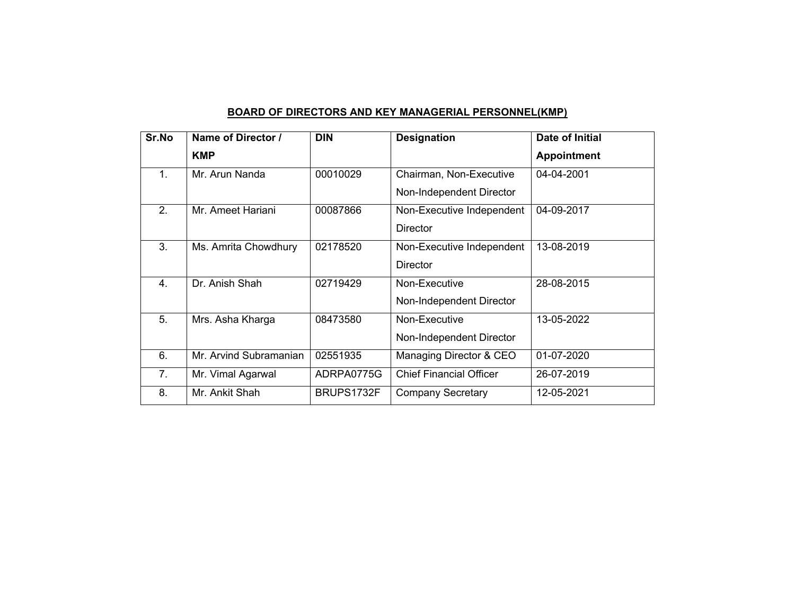## **BOARD OF DIRECTORS AND KEY MANAGERIAL PERSONNEL(KMP)**

| Sr.No            | Name of Director /     | <b>DIN</b> | <b>Designation</b>             | <b>Date of Initial</b> |
|------------------|------------------------|------------|--------------------------------|------------------------|
|                  | <b>KMP</b>             |            |                                | <b>Appointment</b>     |
| 1.               | Mr. Arun Nanda         | 00010029   | Chairman, Non-Executive        | 04-04-2001             |
|                  |                        |            | Non-Independent Director       |                        |
| 2.               | Mr. Ameet Hariani      | 00087866   | Non-Executive Independent      | 04-09-2017             |
|                  |                        |            | <b>Director</b>                |                        |
| 3.               | Ms. Amrita Chowdhury   | 02178520   | Non-Executive Independent      | 13-08-2019             |
|                  |                        |            | <b>Director</b>                |                        |
| $\overline{4}$ . | Dr. Anish Shah         | 02719429   | Non-Executive                  | 28-08-2015             |
|                  |                        |            | Non-Independent Director       |                        |
| 5.               | Mrs. Asha Kharga       | 08473580   | Non-Executive                  | 13-05-2022             |
|                  |                        |            | Non-Independent Director       |                        |
| 6.               | Mr. Arvind Subramanian | 02551935   | Managing Director & CEO        | 01-07-2020             |
| 7 <sub>1</sub>   | Mr. Vimal Agarwal      | ADRPA0775G | <b>Chief Financial Officer</b> | 26-07-2019             |
| 8.               | Mr. Ankit Shah         | BRUPS1732F | <b>Company Secretary</b>       | 12-05-2021             |